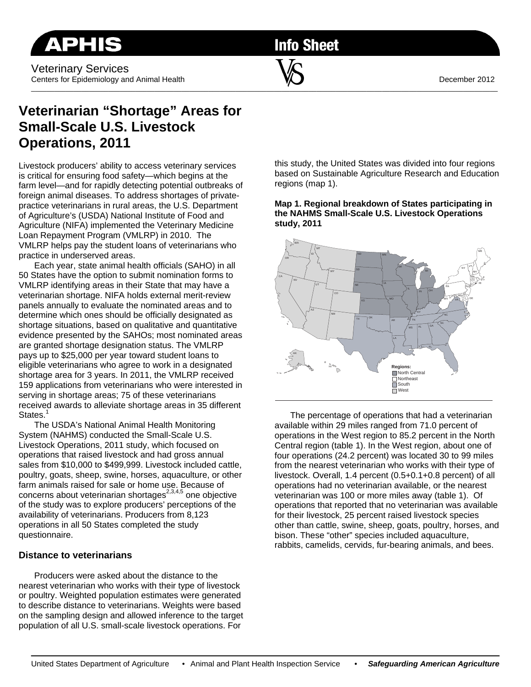Veterinary Services Centers for Epidemiology and Animal Health December 2012

**Info Sheet** 

\_\_\_\_\_\_\_\_\_\_\_\_\_\_\_\_\_\_\_\_\_\_\_\_\_\_\_\_\_\_\_\_\_\_\_\_\_\_\_\_\_\_\_\_\_\_\_\_\_\_\_\_\_\_\_\_\_\_\_\_\_\_\_\_\_\_\_\_\_\_\_\_\_\_\_\_\_\_\_\_\_\_\_\_\_\_\_\_\_\_\_\_\_\_\_\_\_\_\_\_\_\_\_\_\_\_\_\_\_\_\_\_\_\_\_\_\_\_\_\_\_

# **Veterinarian "Shortage" Areas for Small-Scale U.S. Livestock Operations, 2011**

Livestock producers' ability to access veterinary services is critical for ensuring food safety—which begins at the farm level—and for rapidly detecting potential outbreaks of foreign animal diseases. To address shortages of privatepractice veterinarians in rural areas, the U.S. Department of Agriculture's (USDA) National Institute of Food and Agriculture (NIFA) implemented the Veterinary Medicine Loan Repayment Program (VMLRP) in 2010. The VMLRP helps pay the student loans of veterinarians who practice in underserved areas.

Each year, state animal health officials (SAHO) in all 50 States have the option to submit nomination forms to VMLRP identifying areas in their State that may have a veterinarian shortage. NIFA holds external merit-review panels annually to evaluate the nominated areas and to determine which ones should be officially designated as shortage situations, based on qualitative and quantitative evidence presented by the SAHOs; most nominated areas are granted shortage designation status. The VMLRP pays up to \$25,000 per year toward student loans to eligible veterinarians who agree to work in a designated shortage area for 3 years. In 2011, the VMLRP received 159 applications from veterinarians who were interested in serving in shortage areas; 75 of these veterinarians received awards to alleviate shortage areas in 35 different States.<sup>1</sup>

The USDA's National Animal Health Monitoring System (NAHMS) conducted the Small-Scale U.S. Livestock Operations, 2011 study, which focused on operations that raised livestock and had gross annual sales from \$10,000 to \$499,999. Livestock included cattle, poultry, goats, sheep, swine, horses, aquaculture, or other farm animals raised for sale or home use. Because of concerns about veterinarian shortages<sup>2,3,4,5</sup> one objective of the study was to explore producers' perceptions of the availability of veterinarians. Producers from 8,123 operations in all 50 States completed the study questionnaire.

## **Distance to veterinarians**

Producers were asked about the distance to the nearest veterinarian who works with their type of livestock or poultry. Weighted population estimates were generated to describe distance to veterinarians. Weights were based on the sampling design and allowed inference to the target population of all U.S. small-scale livestock operations. For

this study, the United States was divided into four regions based on Sustainable Agriculture Research and Education regions (map 1).

**Map 1. Regional breakdown of States participating in the NAHMS Small-Scale U.S. Livestock Operations study, 2011** 



The percentage of operations that had a veterinarian available within 29 miles ranged from 71.0 percent of operations in the West region to 85.2 percent in the North Central region (table 1). In the West region, about one of four operations (24.2 percent) was located 30 to 99 miles from the nearest veterinarian who works with their type of livestock. Overall, 1.4 percent (0.5+0.1+0.8 percent) of all operations had no veterinarian available, or the nearest veterinarian was 100 or more miles away (table 1). Of operations that reported that no veterinarian was available for their livestock, 25 percent raised livestock species other than cattle, swine, sheep, goats, poultry, horses, and bison. These "other" species included aquaculture, rabbits, camelids, cervids, fur-bearing animals, and bees.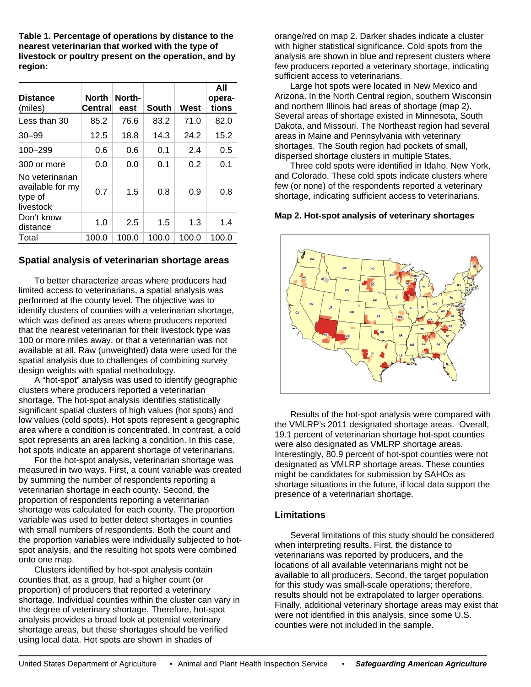**Table 1. Percentage of operations by distance to the nearest veterinarian that worked with the type of livestock or poultry present on the operation, and by region:** 

| <b>Distance</b><br>(miles)                                  | <b>North</b><br><b>Central</b> | North-<br>east | South | West  | All<br>opera-<br>tions |
|-------------------------------------------------------------|--------------------------------|----------------|-------|-------|------------------------|
| Less than 30                                                | 85.2                           | 76.6           | 83.2  | 71.0  | 82.0                   |
| $30 - 99$                                                   | 12.5                           | 18.8           | 14.3  | 24.2  | 15.2                   |
| 100-299                                                     | 0.6                            | 0.6            | 0.1   | 2.4   | 0.5                    |
| 300 or more                                                 | 0.0                            | 0.0            | 0.1   | 0.2   | 0.1                    |
| No veterinarian<br>available for my<br>type of<br>livestock | 0.7                            | 1.5            | 0.8   | 0.9   | 0.8                    |
| Don't know<br>distance                                      | 1.0                            | 2.5            | 1.5   | 1.3   | 1.4                    |
| Total                                                       | 100.0                          | 100.0          | 100.0 | 100.0 | 100.0                  |

### **Spatial analysis of veterinarian shortage areas**

To better characterize areas where producers had limited access to veterinarians, a spatial analysis was performed at the county level. The objective was to identify clusters of counties with a veterinarian shortage, which was defined as areas where producers reported that the nearest veterinarian for their livestock type was 100 or more miles away, or that a veterinarian was not available at all. Raw (unweighted) data were used for the spatial analysis due to challenges of combining survey design weights with spatial methodology.

A "hot-spot" analysis was used to identify geographic clusters where producers reported a veterinarian shortage. The hot-spot analysis identifies statistically significant spatial clusters of high values (hot spots) and low values (cold spots). Hot spots represent a geographic area where a condition is concentrated. In contrast, a cold spot represents an area lacking a condition. In this case, hot spots indicate an apparent shortage of veterinarians.

For the hot-spot analysis, veterinarian shortage was measured in two ways. First, a count variable was created by summing the number of respondents reporting a veterinarian shortage in each county. Second, the proportion of respondents reporting a veterinarian shortage was calculated for each county. The proportion variable was used to better detect shortages in counties with small numbers of respondents. Both the count and the proportion variables were individually subjected to hotspot analysis, and the resulting hot spots were combined onto one map.

Clusters identified by hot-spot analysis contain counties that, as a group, had a higher count (or proportion) of producers that reported a veterinary shortage. Individual counties within the cluster can vary in the degree of veterinary shortage. Therefore, hot-spot analysis provides a broad look at potential veterinary shortage areas, but these shortages should be verified using local data. Hot spots are shown in shades of

orange/red on map 2. Darker shades indicate a cluster with higher statistical significance. Cold spots from the analysis are shown in blue and represent clusters where few producers reported a veterinary shortage, indicating sufficient access to veterinarians.

Large hot spots were located in New Mexico and Arizona. In the North Central region, southern Wisconsin and northern Illinois had areas of shortage (map 2). Several areas of shortage existed in Minnesota, South Dakota, and Missouri. The Northeast region had several areas in Maine and Pennsylvania with veterinary shortages. The South region had pockets of small, dispersed shortage clusters in multiple States.

Three cold spots were identified in Idaho, New York, and Colorado. These cold spots indicate clusters where few (or none) of the respondents reported a veterinary shortage, indicating sufficient access to veterinarians.

#### **Map 2. Hot-spot analysis of veterinary shortages**



Results of the hot-spot analysis were compared with the VMLRP's 2011 designated shortage areas. Overall, 19.1 percent of veterinarian shortage hot-spot counties were also designated as VMLRP shortage areas. Interestingly, 80.9 percent of hot-spot counties were not designated as VMLRP shortage areas. These counties might be candidates for submission by SAHOs as shortage situations in the future, if local data support the presence of a veterinarian shortage.

## **Limitations**

Several limitations of this study should be considered when interpreting results. First, the distance to veterinarians was reported by producers, and the locations of all available veterinarians might not be available to all producers. Second, the target population for this study was small-scale operations; therefore, results should not be extrapolated to larger operations. Finally, additional veterinary shortage areas may exist that were not identified in this analysis, since some U.S. counties were not included in the sample.